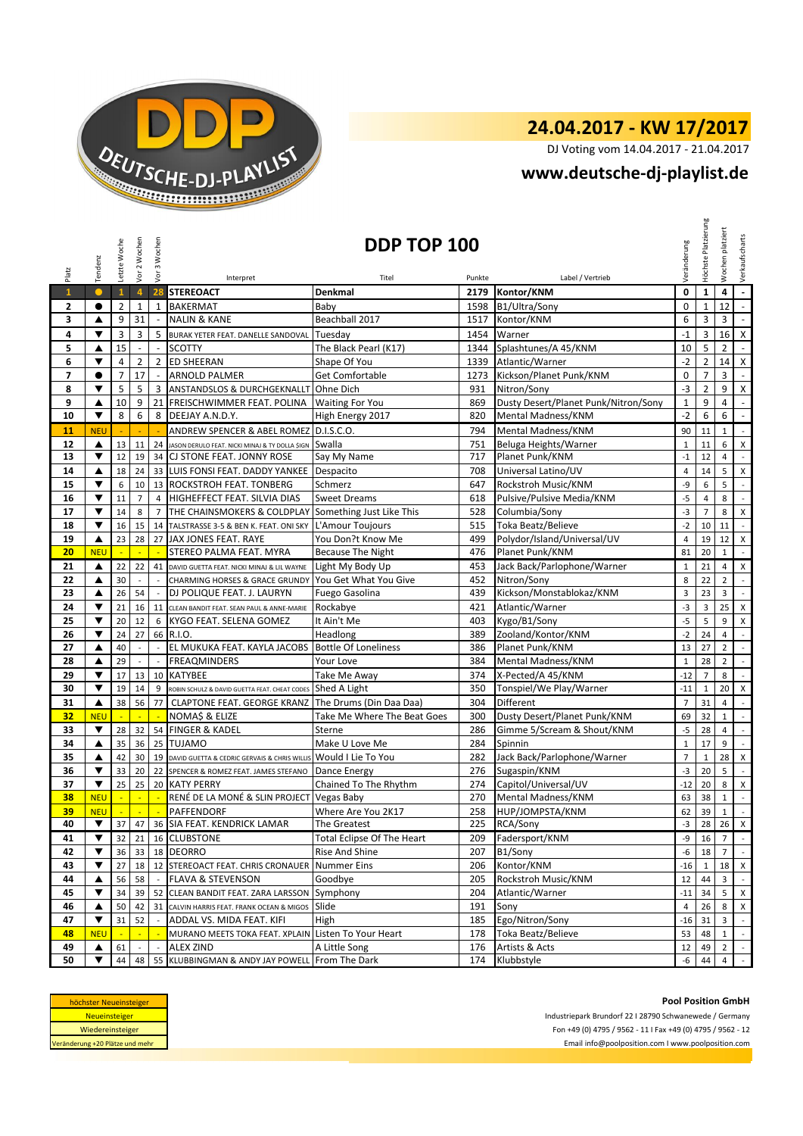

DJ Voting vom 14.04.2017 - 21.04.2017

#### **[w](http://www.deutsche-dj-playlist.de/)ww.deutsche-dj-playlist.de**

| Platz        | Tendenz                                                                                                                         | Letzte Woche   | Vor 2 Wochen             | Vor 3 Wochen             |                                                        | <b>DDP TOP 100</b><br>Titel |                | Label / Vertrieb                     | Veränderung    | Höchste Platzierung | platziert<br>Wochen | Verkaufscharts              |
|--------------|---------------------------------------------------------------------------------------------------------------------------------|----------------|--------------------------|--------------------------|--------------------------------------------------------|-----------------------------|----------------|--------------------------------------|----------------|---------------------|---------------------|-----------------------------|
| $\mathbf{1}$ | $\bullet$                                                                                                                       | $\mathbf{1}$   | $\overline{4}$           |                          | Interpret<br>28 STEREOACT                              | Denkmal                     | Punkte<br>2179 | Kontor/KNM                           | 0              | $\mathbf{1}$        | 4                   | $\omega$                    |
|              |                                                                                                                                 |                |                          |                          |                                                        |                             |                |                                      |                |                     |                     | $\mathcal{L}^{\mathcal{A}}$ |
| 2            | $\bullet$                                                                                                                       | $\overline{2}$ | $\mathbf{1}$             | $\mathbf{1}$             | <b>BAKERMAT</b>                                        | Baby<br>Beachball 2017      | 1598           | B1/Ultra/Sony                        | $\mathbf 0$    | $\mathbf{1}$        | 12                  |                             |
| 3            | ▲                                                                                                                               | 9              | 31                       |                          | <b>NALIN &amp; KANE</b>                                |                             | 1517           | Kontor/KNM                           | 6              | 3                   | 3                   | $\overline{\phantom{a}}$    |
| 4            | ▼                                                                                                                               | 3              | 3                        | 5                        | BURAK YETER FEAT. DANELLE SANDOVAL Tuesday             |                             | 1454           | Warner                               | $-1$           | 3                   | 16                  | $\mathsf{X}$                |
| 5            | ▲                                                                                                                               | 15             |                          |                          | <b>SCOTTY</b>                                          | The Black Pearl (K17)       | 1344           | Splashtunes/A 45/KNM                 | 10             | 5                   | $\overline{2}$      | $\overline{\phantom{a}}$    |
| 6            | ▼                                                                                                                               | 4              | $\overline{2}$           | $\overline{2}$           | <b>ED SHEERAN</b>                                      | Shape Of You                | 1339           | Atlantic/Warner                      | $-2$           | $\overline{2}$      | 14                  | $\pmb{\mathsf{X}}$          |
| 7            | $\bullet$                                                                                                                       | $\overline{7}$ | 17                       | $\sim$                   | ARNOLD PALMER                                          | Get Comfortable             | 1273           | Kickson/Planet Punk/KNM              | 0              | 7                   | 3                   | $\sim$                      |
| 8            | $\overline{\mathbf{v}}$                                                                                                         | 5              | 5                        | 3                        | ANSTANDSLOS & DURCHGEKNALLT Ohne Dich                  |                             | 931            | Nitron/Sony                          | -3             | $\overline{2}$      | 9                   | $\mathsf X$                 |
| 9            | ▲                                                                                                                               | 10             | 9                        | 21                       | <b>FREISCHWIMMER FEAT. POLINA</b>                      | <b>Waiting For You</b>      | 869            | Dusty Desert/Planet Punk/Nitron/Sony | $\mathbf 1$    | 9                   | 4                   | $\sim$                      |
| 10           | ▼                                                                                                                               | 8              | 6                        | 8                        | DEEJAY A.N.D.Y.                                        | High Energy 2017            | 820            | Mental Madness/KNM                   | $-2$           | 6                   | 6                   | $\blacksquare$              |
| 11           | <b>NEU</b>                                                                                                                      |                |                          |                          | ANDREW SPENCER & ABEL ROMEZ D.I.S.C.O.                 |                             | 794            | Mental Madness/KNM                   | 90             | 11                  | $\mathbf{1}$        | $\mathbb{L}$                |
| 12           | ▲                                                                                                                               | 13             | 11                       | 24                       | JASON DERULO FEAT. NICKI MINAJ & TY DOLLA \$IGN        | Swalla                      | 751            | Beluga Heights/Warner                | $\mathbf{1}$   | 11                  | 6                   | X                           |
| 13           | ▼                                                                                                                               | 12             | 19                       | 34                       | CJ STONE FEAT. JONNY ROSE                              | Say My Name                 | 717            | Planet Punk/KNM                      | $-1$           | 12                  | $\overline{4}$      | $\mathcal{L}_{\mathcal{A}}$ |
| 14           | ▲                                                                                                                               | 18             | 24                       |                          | 33 LUIS FONSI FEAT. DADDY YANKEE                       | Despacito                   | 708            | Universal Latino/UV                  | $\overline{4}$ | 14                  | 5                   | X                           |
| 15           | ▼                                                                                                                               | 6              | 10                       |                          | 13 ROCKSTROH FEAT. TONBERG                             | Schmerz                     | 647            | Rockstroh Music/KNM                  | -9             | 6                   | 5                   | $\blacksquare$              |
| 16           | ▼                                                                                                                               | 11             | $\overline{7}$           | $\overline{4}$           | HIGHEFFECT FEAT. SILVIA DIAS                           | <b>Sweet Dreams</b>         | 618            | Pulsive/Pulsive Media/KNM            | $-5$           | 4                   | 8                   | $\mathbb{Z}^{\mathbb{Z}}$   |
| 17           | ▼                                                                                                                               | 14             | 8                        | $\overline{7}$           | THE CHAINSMOKERS & COLDPLAY Something Just Like This   |                             | 528            | Columbia/Sony                        | $-3$           | $\overline{7}$      | 8                   | X                           |
| 18           | ▼                                                                                                                               | 16             | 15                       | 14                       | TALSTRASSE 3-5 & BEN K. FEAT. ONI SKY L'Amour Toujours |                             | 515            | Toka Beatz/Believe                   | $-2$           | 10                  | 11                  | $\blacksquare$              |
| 19           | ▲                                                                                                                               | 23             | 28                       | 27                       | JAX JONES FEAT. RAYE                                   | You Don?t Know Me           | 499            | Polydor/Island/Universal/UV          | $\overline{4}$ | 19                  | 12                  | X                           |
| 20           | <b>NEU</b>                                                                                                                      | ÷              | ÷                        | ÷.                       | STEREO PALMA FEAT. MYRA                                | <b>Because The Night</b>    | 476            | Planet Punk/KNM                      | 81             | 20                  | $\mathbf{1}$        | $\blacksquare$              |
| 21           | ▲                                                                                                                               | 22             | 22                       | 41                       | DAVID GUETTA FEAT. NICKI MINAJ & LIL WAYNE             | Light My Body Up            | 453            | Jack Back/Parlophone/Warner          | $\mathbf 1$    | 21                  | $\overline{4}$      | $\mathsf X$                 |
| 22           | ▲                                                                                                                               | 30             |                          |                          | CHARMING HORSES & GRACE GRUNDY                         | You Get What You Give       | 452            | Nitron/Sony                          | 8              | 22                  | $\overline{2}$      | $\mathbb{Z}^{\mathbb{Z}}$   |
| 23           | ▲                                                                                                                               | 26             | 54                       | $\sim$                   | DJ POLIQUE FEAT. J. LAURYN                             | Fuego Gasolina              | 439            | Kickson/Monstablokaz/KNM             | $\overline{3}$ | 23                  | 3                   | $\mathbb{L}$                |
| 24           | $\blacktriangledown$                                                                                                            | 21             | 16                       | 11                       | CLEAN BANDIT FEAT. SEAN PAUL & ANNE-MARIE              | Rockabye                    | 421            | Atlantic/Warner                      | -3             | 3                   | 25                  | $\pmb{\mathsf{X}}$          |
| 25           | ▼                                                                                                                               | 20             | 12                       | 6                        | KYGO FEAT. SELENA GOMEZ                                | It Ain't Me                 | 403            | Kygo/B1/Sony                         | $-5$           | 5                   | 9                   | X                           |
| 26           | ▼                                                                                                                               | 24             | 27                       |                          | 66 R.I.O.                                              | Headlong                    | 389            | Zooland/Kontor/KNM                   | $-2$           | 24                  | 4                   | $\blacksquare$              |
| 27           | ▲                                                                                                                               | 40             |                          |                          | EL MUKUKA FEAT. KAYLA JACOBS                           | <b>Bottle Of Loneliness</b> | 386            | Planet Punk/KNM                      | 13             | 27                  | $\overline{2}$      | $\mathbb{Z}^2$              |
| 28           | ▲                                                                                                                               | 29             | $\overline{\phantom{a}}$ | $\overline{\phantom{a}}$ | <b>FREAQMINDERS</b>                                    | Your Love                   | 384            | Mental Madness/KNM                   | $\mathbf 1$    | 28                  | $\overline{2}$      | $\mathbb{Z}^2$              |
| 29           | ▼                                                                                                                               | 17             | 13                       | 10                       | <b>KATYBEE</b>                                         | Take Me Away                | 374            | X-Pected/A 45/KNM                    | $-12$          | $\overline{7}$      | 8                   | $\mathbb{L}$                |
| 30           | $\blacktriangledown$                                                                                                            | 19             | 14                       | 9                        | ROBIN SCHULZ & DAVID GUETTA FEAT. CHEAT CODES          | Shed A Light                | 350            | Tonspiel/We Play/Warner              | $-11$          | $\mathbf{1}$        | 20                  | $\boldsymbol{\mathsf{X}}$   |
| 31           | ▲                                                                                                                               | 38             | 56                       | 77                       | CLAPTONE FEAT. GEORGE KRANZ The Drums (Din Daa Daa)    |                             | 304            | Different                            | $\overline{7}$ | 31                  | $\overline{4}$      | $\mathbb{Z}^{\mathbb{Z}}$   |
| 32           | <b>NEU</b>                                                                                                                      |                |                          |                          | NOMA\$ & ELIZE                                         | Take Me Where The Beat Goes | 300            | Dusty Desert/Planet Punk/KNM         | 69             | 32                  | $\mathbf{1}$        | $\blacksquare$              |
| 33           | ▼                                                                                                                               | 28             | 32                       |                          | 54 FINGER & KADEL                                      | Sterne                      | 286            | Gimme 5/Scream & Shout/KNM           | $-5$           | 28                  | $\overline{4}$      | $\mathcal{L}$               |
| 34           | ▲                                                                                                                               | 35             | 36                       |                          | 25 TUJAMO                                              | Make U Love Me              | 284            | Spinnin                              | $\mathbf 1$    | 17                  | 9                   | $\mathbb{Z}^2$              |
| 35           | ▲                                                                                                                               | 42             | 30                       | 19                       | DAVID GUETTA & CEDRIC GERVAIS & CHRIS WILLIS           | Would I Lie To You          | 282            | Jack Back/Parlophone/Warner          | $\overline{7}$ | $\mathbf{1}$        | 28                  | X                           |
| 36           | ▼                                                                                                                               | 33             | 20                       | 22                       | SPENCER & ROMEZ FEAT. JAMES STEFANO                    | Dance Energy                | 276            | Sugaspin/KNM                         | $-3$           | 20                  | 5                   | $\overline{\phantom{a}}$    |
| 37           | $\blacktriangledown$                                                                                                            | 25             | 25                       |                          | 20 KATY PERRY                                          | Chained To The Rhythm       | 274            | Capitol/Universal/UV                 | $-12$          | 20                  | 8                   | $\pmb{\mathsf{X}}$          |
| 38           | <b>NEU</b>                                                                                                                      |                |                          |                          | RENÉ DE LA MONÉ & SLIN PROJECT Vegas Baby              |                             | 270            | Mental Madness/KNM                   | 63             | 38                  | $\mathbf{1}$        | $\mathbb{Z}^{\mathbb{Z}}$   |
| 39           | <b>NEU</b>                                                                                                                      | $\mathbb{Z}^2$ | $\mathbb{Z}$             | $\mathbb{Z}^2$           | PAFFENDORF                                             | Where Are You 2K17          | 258            | HUP/JOMPSTA/KNM                      | 62             | 39                  | $\mathbf{1}$        | $\overline{\phantom{a}}$    |
| 40           | $\blacktriangledown$                                                                                                            | 37             |                          |                          | 47 36 SIA FEAT. KENDRICK LAMAR                         | The Greatest                | 225            | RCA/Sony                             | -3             | 28 26 X             |                     |                             |
| 41           | ▼                                                                                                                               | 32             | 21                       |                          | 16 CLUBSTONE                                           | Total Eclipse Of The Heart  | 209            | Fadersport/KNM                       | -9             | 16 <sup>1</sup>     | $7\overline{ }$     | $\sim$                      |
| 42           | ▼                                                                                                                               | 36             | 33                       |                          | 18 DEORRO                                              | Rise And Shine              | 207            | B1/Sony                              | -6             | 18                  | $7\overline{ }$     | $\sim$                      |
| 43           | ▼                                                                                                                               | 27             | 18                       |                          | 12 STEREOACT FEAT. CHRIS CRONAUER Nummer Eins          |                             | 206            | Kontor/KNM                           | $-16$          | $1 \mid$            |                     | 18 X                        |
| 44           | ▲                                                                                                                               | 56             | 58                       | $\blacksquare$           | <b>FLAVA &amp; STEVENSON</b>                           | Goodbye                     | 205            | Rockstroh Music/KNM                  | 12             | 44                  | 3 <sup>1</sup>      | $\sim$                      |
| 45           | ▼                                                                                                                               | 34             | 39                       |                          | 52 CLEAN BANDIT FEAT. ZARA LARSSON Symphony            |                             | 204            | Atlantic/Warner                      | $-11$          | 34                  | 5 <sub>1</sub>      | $\pmb{\mathsf{X}}$          |
| 46           | ▲                                                                                                                               | 50             | 42                       |                          | 31 CALVIN HARRIS FEAT. FRANK OCEAN & MIGOS             | Slide                       | 191            | Sony                                 | $\overline{4}$ | 26                  | 8                   | $\times$                    |
| 47           | ▼                                                                                                                               | 31             | 52                       | $\overline{\phantom{a}}$ | ADDAL VS. MIDA FEAT. KIFI                              | High                        | 185            | Ego/Nitron/Sony                      | $-16$          | 31                  | $\mathbf{3}$        | $\sim$                      |
| 48           | <b>NEU</b>                                                                                                                      |                |                          |                          | MURANO MEETS TOKA FEAT. XPLAIN Listen To Your Heart    |                             | 178            | Toka Beatz/Believe                   | 53             | 48                  | $\mathbf{1}$        | $\sim$                      |
| 49           | ▲                                                                                                                               | 61             |                          |                          | ALEX ZIND                                              | A Little Song               | 176            | Artists & Acts                       | 12             | 49                  | $\overline{2}$      | $\mathbb{Z}^+$              |
| 50           | ▼                                                                                                                               | 44             | 48                       |                          | 55 KLUBBINGMAN & ANDY JAY POWELL From The Dark         |                             | 174            | Klubbstyle                           | -6             | 44                  | $\overline{4}$      | $\mathbb{Z}^+$              |
|              | <b>Pool Position GmbH</b><br>höchster Neueinsteiger<br>Neueinsteiger<br>Industriepark Brundorf 22 I 28790 Schwanewede / Germany |                |                          |                          |                                                        |                             |                |                                      |                |                     |                     |                             |

| höchster Neueinsteiger          |  |  |  |  |  |  |
|---------------------------------|--|--|--|--|--|--|
| <b>Neueinsteiger</b>            |  |  |  |  |  |  |
| Wiedereinsteiger                |  |  |  |  |  |  |
| Veränderung +20 Plätze und mehr |  |  |  |  |  |  |

**Pool Position GmbH**<br>Industriepark Brundorf 22 I 28790 Schwanewede / Germany Pool Position GmbH<br>Industriepark Brundorf 22 I 28790 Schwanewede / Germany<br>Fon +49 (0) 4795 / 9562 - 11 I Fax +49 (0) 4795 / 9562 - 12<br>Email info@poolposition.com I www.poolposition.com Email info@poolposition.com I www.poolposition.com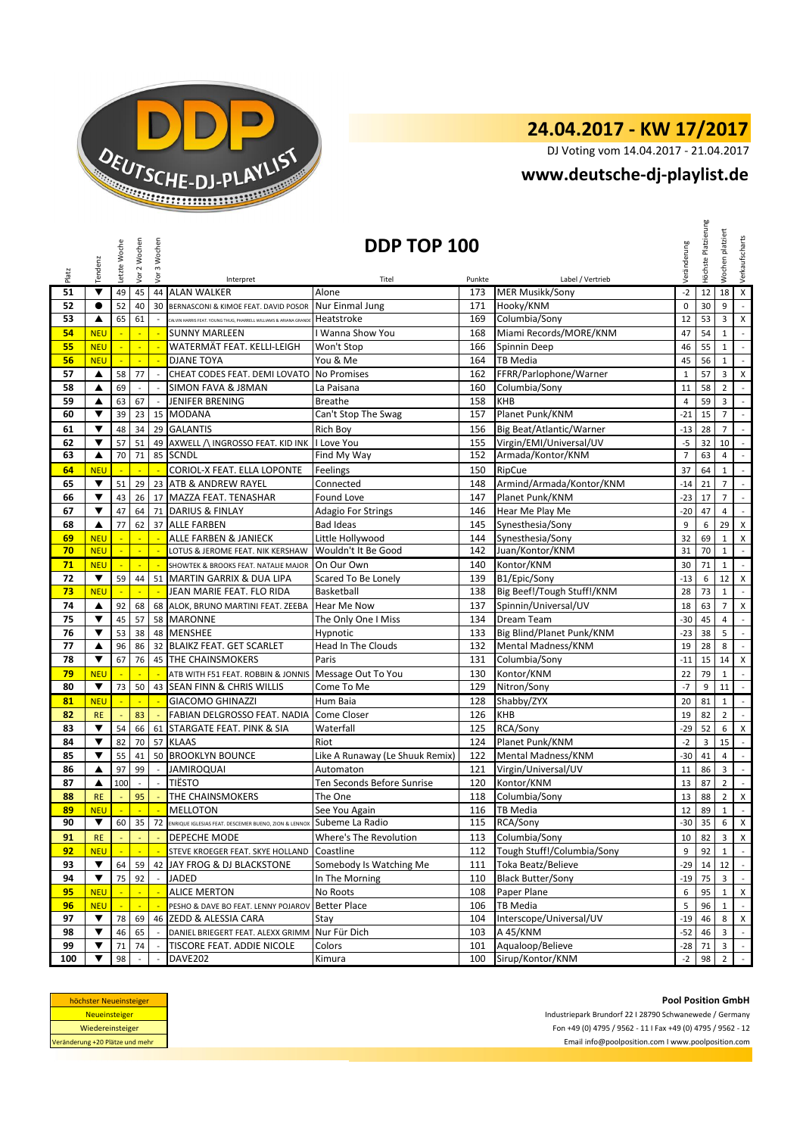

DJ Voting vom 14.04.2017 - 21.04.2017

# **[w](http://www.deutsche-dj-playlist.de/)ww.deutsche-dj-playlist.de**

| Platz     | Tendenz                            | Letzte Woche | Vor 2 Wochen                   | Vor 3 Wochen                 |                                                                         | DDP TOP 100                      |            |                                              | Veränderung            | Höchste Platzierung | platziert<br>Wochen            | Verkaufscharts                            |
|-----------|------------------------------------|--------------|--------------------------------|------------------------------|-------------------------------------------------------------------------|----------------------------------|------------|----------------------------------------------|------------------------|---------------------|--------------------------------|-------------------------------------------|
|           |                                    |              |                                |                              | Interpret                                                               | Titel                            | Punkte     | Label / Vertrieb                             |                        |                     |                                |                                           |
| 51        | ▼<br>$\bullet$                     | 49           | 45                             | 44                           | <b>ALAN WALKER</b>                                                      | Alone                            | 173        | <b>MER Musikk/Sony</b>                       | $-2$                   | 12                  | 18                             | $\pmb{\mathsf{X}}$<br>$\mathcal{L}$       |
| 52<br>53  | ▲                                  | 52<br>65     | 40<br>61                       | 30                           | BERNASCONI & KIMOE FEAT. DAVID POSOR                                    | Nur Einmal Jung<br>Heatstroke    | 171<br>169 | Hooky/KNM<br>Columbia/Sony                   | $\mathbf 0$<br>12      | 30<br>53            | 9<br>3                         | X                                         |
|           |                                    |              |                                |                              | .<br>CALVIN HARRIS FEAT. YOUNG THUG, PHARRELL WILLIAMS & ARIANA GRANDE  |                                  |            | Miami Records/MORE/KNM                       |                        |                     |                                |                                           |
| 54<br>55  | <b>NEU</b><br><b>NEU</b>           | ÷,           | $\blacksquare$<br>$\mathbb{Z}$ | $\mathbb{Z}$<br>$\mathbb{Z}$ | <b>SUNNY MARLEEN</b><br>WATERMÄT FEAT. KELLI-LEIGH                      | I Wanna Show You<br>Won't Stop   | 168<br>166 | Spinnin Deep                                 | 47<br>46               | 54<br>55            | $\mathbf{1}$<br>$\mathbf{1}$   | $\mathbb{Z}^{\mathbb{Z}}$<br>$\mathbb{L}$ |
|           |                                    |              | ÷,                             |                              |                                                                         |                                  |            |                                              |                        |                     |                                | $\overline{\phantom{a}}$                  |
| 56        | <b>NEU</b>                         |              |                                | $\sim$                       | <b>DJANE TOYA</b>                                                       | You & Me                         | 164        | <b>TB Media</b><br>FFRR/Parlophone/Warner    | 45                     | 56                  | $\mathbf{1}$                   |                                           |
| 57        | ▲                                  | 58           | 77<br>$\sim$                   | $\sim$                       | CHEAT CODES FEAT. DEMI LOVATO<br><b>SIMON FAVA &amp; J8MAN</b>          | <b>No Promises</b><br>La Paisana | 162<br>160 |                                              | $\mathbf{1}$           | 57                  | 3<br>$\overline{2}$            | X<br>$\mathbb{Z}^2$                       |
| 58<br>59  | ▲<br>▲                             | 69           |                                | $\overline{\phantom{a}}$     | <b>JENIFER BRENING</b>                                                  | <b>Breathe</b>                   | 158        | Columbia/Sony<br>KHB                         | 11                     | 58<br>59            | 3                              | $\overline{\phantom{a}}$                  |
| 60        | ▼                                  | 63<br>39     | 67<br>23                       | 15                           | <b>MODANA</b>                                                           | Can't Stop The Swag              | 157        | Planet Punk/KNM                              | 4<br>$-21$             | 15                  | $\overline{7}$                 | $\mathbb{L}^+$                            |
|           |                                    |              |                                |                              |                                                                         |                                  |            |                                              |                        |                     |                                |                                           |
| 61        | $\blacktriangledown$               | 48           | 34                             |                              | 29 GALANTIS                                                             | Rich Boy                         | 156        | Big Beat/Atlantic/Warner                     | $-13$                  | 28                  | $\overline{7}$                 | $\mathbb{Z}^{\mathbb{Z}}$                 |
| 62<br>63  | $\blacktriangledown$               | 57           | 51                             |                              | 49 AXWELL / INGROSSO FEAT. KID INK                                      | I Love You                       | 155        | Virgin/EMI/Universal/UV<br>Armada/Kontor/KNM | $-5$<br>$\overline{7}$ | 32                  | 10<br>$\overline{4}$           | $\sim$<br>$\mathbb{Z}^2$                  |
|           | ▲                                  | 70           | 71                             | 85                           | <b>SCNDL</b>                                                            | Find My Way                      | 152        |                                              |                        | 63                  |                                |                                           |
| 64        | <b>NEU</b>                         |              |                                | ÷.                           | CORIOL-X FEAT. ELLA LOPONTE                                             | Feelings                         | 150        | RipCue                                       | 37                     | 64                  | $\mathbf{1}$                   | $\mathbb{Z}^{\mathbb{Z}}$                 |
| 65        | ▼                                  | 51           | 29                             |                              | 23 ATB & ANDREW RAYEL                                                   | Connected                        | 148        | Armind/Armada/Kontor/KNM                     | $-14$                  | 21                  | $\overline{7}$                 | $\mathbb{L}$                              |
| 66        | $\blacktriangledown$               | 43           | 26                             |                              | 17 MAZZA FEAT. TENASHAR                                                 | <b>Found Love</b>                | 147        | Planet Punk/KNM                              | $-23$                  | 17                  | $\overline{7}$                 | $\mathbb{R}^2$                            |
| 67        | $\overline{\mathbf{v}}$            | 47           | 64                             | 71                           | <b>DARIUS &amp; FINLAY</b>                                              | Adagio For Strings               | 146        | Hear Me Play Me                              | $-20$                  | 47                  | 4                              | $\overline{\phantom{a}}$                  |
| 68        | ▲                                  | 77           | 62                             |                              | 37 ALLE FARBEN                                                          | <b>Bad Ideas</b>                 | 145        | Synesthesia/Sony                             | 9                      | 6                   | 29                             | $\mathsf{X}$                              |
| 69        | <b>NEU</b>                         |              |                                | ÷.                           | ALLE FARBEN & JANIECK                                                   | Little Hollywood                 | 144        | Synesthesia/Sony                             | 32                     | 69                  | $\mathbf{1}$                   | $\pmb{\times}$                            |
| 70        | <b>NEU</b>                         |              | $\blacksquare$                 | $\mathbb{Z}$                 | LOTUS & JEROME FEAT. NIK KERSHAW                                        | Wouldn't It Be Good              | 142        | Juan/Kontor/KNM                              | 31                     | 70                  | $\mathbf 1$                    | $\overline{\phantom{a}}$                  |
| 71        | <b>NEU</b>                         | ÷.           | $\mathbb{Z}^2$                 | $\mathbb{Z}^2$               | SHOWTEK & BROOKS FEAT. NATALIE MAJOR                                    | On Our Own                       | 140        | Kontor/KNM                                   | 30                     | 71                  | $\mathbf{1}$                   | $\sim$                                    |
| 72        | $\blacktriangledown$               | 59           | 44                             |                              | 51 MARTIN GARRIX & DUA LIPA                                             | Scared To Be Lonely              | 139        | B1/Epic/Sony                                 | $-13$                  | 6                   | 12                             | $\pmb{\times}$                            |
| 73        | <b>NEU</b>                         |              |                                | $\blacksquare$               | JEAN MARIE FEAT. FLO RIDA                                               | Basketball                       | 138        | Big Beef!/Tough Stuff!/KNM                   | 28                     | 73                  | $\mathbf{1}$                   | $\overline{\phantom{a}}$                  |
| 74        | ▲                                  | 92           | 68                             |                              | 68 ALOK, BRUNO MARTINI FEAT. ZEEBA                                      | Hear Me Now                      | 137        | Spinnin/Universal/UV                         | 18                     | 63                  | $\overline{7}$                 | $\pmb{\times}$                            |
| 75        | $\blacktriangledown$               | 45           | 57                             |                              | 58 MARONNE                                                              | The Only One I Miss              | 134        | Dream Team                                   | $-30$                  | 45                  | $\overline{4}$                 | $\blacksquare$                            |
| 76        | $\blacktriangledown$               | 53           | 38                             |                              | 48 MENSHEE                                                              | Hypnotic                         | 133        | Big Blind/Planet Punk/KNM                    | $-23$                  | 38                  | 5                              | $\mathbb{Z}^{\mathbb{Z}}$                 |
| 77        | ▲                                  | 96           | 86                             |                              | 32 BLAIKZ FEAT. GET SCARLET                                             | <b>Head In The Clouds</b>        | 132        | Mental Madness/KNM                           | 19                     | 28                  | 8                              | $\sim$                                    |
| 78        | ▼                                  | 67           | 76                             |                              | 45 THE CHAINSMOKERS                                                     | Paris                            | 131        | Columbia/Sony                                | $-11$                  | 15                  | 14                             | X                                         |
| 79        | <b>NEU</b>                         |              | L.                             | ÷.                           | ATB WITH F51 FEAT. ROBBIN & JONNIS                                      | Message Out To You               | 130        | Kontor/KNM                                   | 22                     | 79                  | $\mathbf{1}$                   | $\frac{1}{2}$                             |
| 80        | $\blacktriangledown$               | 73           | 50                             |                              | 43 SEAN FINN & CHRIS WILLIS                                             | Come To Me                       | 129        | Nitron/Sony                                  | $-7$                   | 9                   | 11                             | $\mathcal{L}_{\mathcal{A}}$               |
| 81        | <b>NEU</b>                         |              | $\mathbb{Z}$                   | $\mathbb{Z}$                 | <b>GIACOMO GHINAZZI</b>                                                 | Hum Baia                         | 128        | Shabby/ZYX                                   | 20                     | 81                  | $\mathbf{1}$                   | $\mathbb{L}$                              |
| 82        | <b>RE</b>                          | ÷.           | 83                             | G.                           | FABIAN DELGROSSO FEAT. NADIA                                            | Come Closer                      | 126        | <b>KHB</b>                                   | 19                     | 82                  | $\overline{2}$                 | $\mathbb{Z}^{\times}$                     |
| 83        | $\blacktriangledown$               | 54           | 66                             |                              | 61 STARGATE FEAT. PINK & SIA                                            | Waterfall                        | 125        | RCA/Sony                                     | $-29$                  | 52                  | 6                              | $\boldsymbol{\mathsf{x}}$                 |
| 84        | $\blacktriangledown$               | 82           | 70                             |                              | 57 KLAAS                                                                | Riot                             | 124        | Planet Punk/KNM                              | $-2$                   | 3                   | 15                             | $\mathbb{Z}^{\mathbb{Z}}$                 |
| 85        | ▼                                  | 55           | 41                             |                              | 50 BROOKLYN BOUNCE                                                      | Like A Runaway (Le Shuuk Remix)  | 122        | Mental Madness/KNM                           | $-30$                  | 41                  | $\overline{4}$                 | $\mathcal{L}^{\mathcal{L}}$               |
| 86        | ▲                                  | 97           | 99                             |                              | <b>JAMIROQUAI</b>                                                       | Automaton                        | 121        | Virgin/Universal/UV                          | 11                     | 86                  | 3                              | $\overline{\phantom{a}}$                  |
| 87        | ▲                                  | 100          | $\sim$                         | $\mathcal{L}_{\mathcal{A}}$  | <b>TIËSTO</b>                                                           | Ten Seconds Before Sunrise       | 120        | Kontor/KNM                                   | 13                     | 87                  | $\overline{2}$                 | $\sim$                                    |
| 88        | <b>RE</b>                          |              | 95                             |                              | THE CHAINSMOKERS                                                        | The One                          | 118        | Columbia/Sony                                | 13                     | 88                  | $\overline{2}$                 | $\mathsf X$                               |
| 89        | <b>NEU</b><br>$\blacktriangledown$ | $\mathbb{Z}$ | $\mathbb{Z}^2$                 | $\mathbb{Z}$                 | <b>MELLOTON</b>                                                         | See You Again                    | 116        | <b>TB Media</b>                              | 12                     | 89                  | $\mathbf{1}$                   | $\overline{\phantom{a}}$                  |
| 90        |                                    | 60           | 35                             |                              | 72 ENRIQUE IGLESIAS FEAT. DESCEMER BUENO, ZION & LENNOX SUDeme La Radio |                                  | 115        | RCA/Sony                                     |                        | $-30$ 35 6 X        |                                |                                           |
| 91        | <b>RE</b>                          |              |                                |                              | DEPECHE MODE                                                            | Where's The Revolution           | 113        | Columbia/Sony                                | 10                     | 82                  | 3 <sup>1</sup>                 | $\mathsf{X}$                              |
| 92        | <b>NEU</b>                         |              |                                |                              | STEVE KROEGER FEAT. SKYE HOLLAND                                        | Coastline                        | 112        | Tough Stuff!/Columbia/Sony                   | 9                      | 92                  | $\mathbf{1}$                   | $\mathbb{Z}^+$                            |
| 93        | $\blacktriangledown$               | 64           | 59                             |                              | 42 JAY FROG & DJ BLACKSTONE                                             | Somebody Is Watching Me          | 111        | Toka Beatz/Believe                           | -29                    | 14                  | 12                             | $\sim$                                    |
| 94        | $\blacktriangledown$               | 75           | 92                             |                              | JADED                                                                   | In The Morning                   | 110        | <b>Black Butter/Sony</b>                     | $-19$                  | 75                  | $\overline{3}$                 |                                           |
| 95        | <b>NEU</b>                         |              | $\blacksquare$                 | $\mathbb{Z}$                 | <b>ALICE MERTON</b>                                                     | No Roots                         | 108        | Paper Plane                                  | 6                      | 95                  | $\mathbf{1}$                   | X                                         |
| 96        | <b>NEU</b>                         |              | ÷.                             | ÷.                           | PESHO & DAVE BO FEAT. LENNY POJAROV                                     | <b>Better Place</b>              | 106        | <b>TB Media</b>                              | 5                      | 96                  | $\mathbf{1}$                   | $\sim$                                    |
| 97        | $\blacktriangledown$               | 78           | 69                             | 46                           | ZEDD & ALESSIA CARA                                                     | Stay                             | 104        | Interscope/Universal/UV                      | $-19$                  | 46                  | 8                              | $\mathsf{X}$                              |
| 98        | ▼                                  | 46           | 65                             |                              | DANIEL BRIEGERT FEAT. ALEXX GRIMM                                       | Nur Für Dich                     | 103        | A 45/KNM                                     | $-52$                  | 46                  | 3                              | $\mathbb{Z}^{\mathbb{Z}}$                 |
| 99<br>100 | ▼                                  | 71<br>98     | 74                             |                              | TISCORE FEAT. ADDIE NICOLE<br>DAVE202                                   | Colors<br>Kimura                 | 101<br>100 | Aqualoop/Believe<br>Sirup/Kontor/KNM         | -28<br>$-2$            | 71<br>98            | $\mathbf{3}$<br>$\overline{2}$ | $\mathbb{Z}^+$<br>$\sim$                  |
|           |                                    |              |                                |                              |                                                                         |                                  |            |                                              |                        |                     |                                |                                           |

| höchster Neueinsteiger          |  |
|---------------------------------|--|
| <b>Neueinsteiger</b>            |  |
| Wiedereinsteiger                |  |
| Veränderung +20 Plätze und mehr |  |
|                                 |  |

**Pool Position GmbH**

Industriepark Brundorf 22 I 28790 Schwanewede / Germany Fon +49 (0) 4795 / 9562 - 11 I Fax +49 (0) 4795 / 9562 - 12 Email info@poolposition.com I www.poolposition.com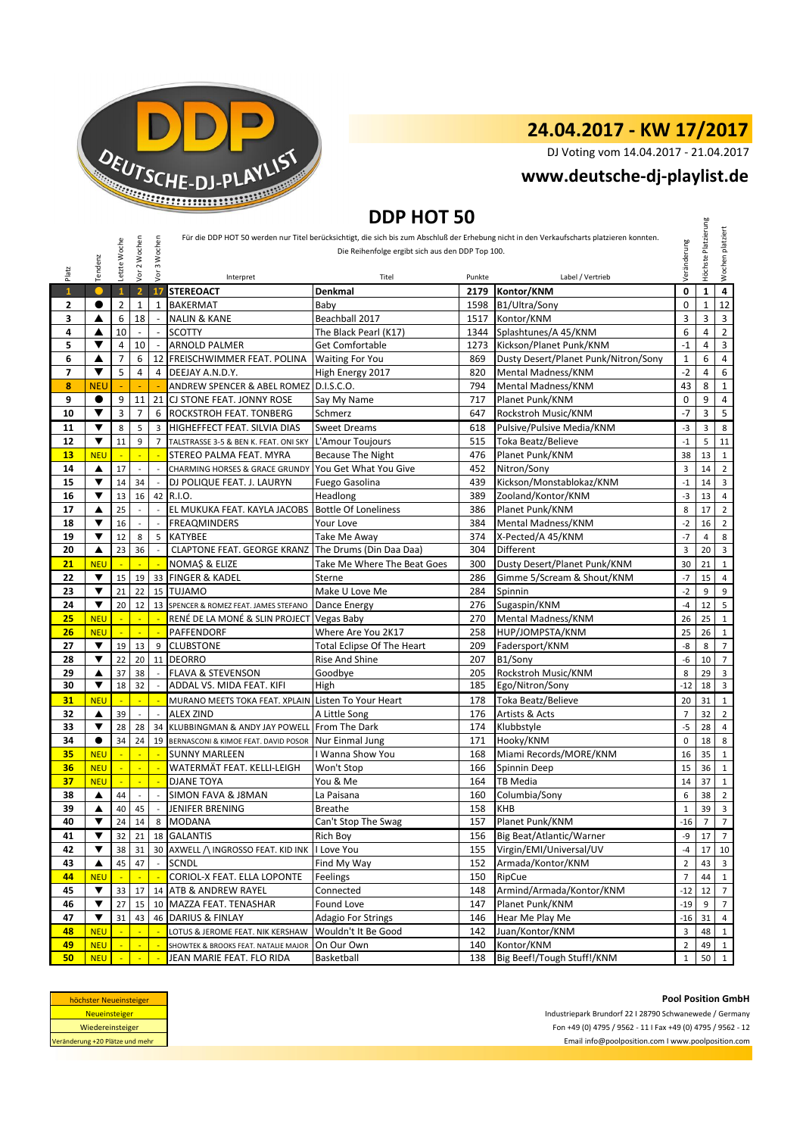

DJ Voting vom 14.04.2017 - 21.04.2017

#### **[w](http://www.deutsche-dj-playlist.de/)ww.deutsche-dj-playlist.de**

## **DDP HOT 50**

| Tendenz        |                         | Letzte Woche   | Vor 2 Wochen             | 3 Wochen                    |                                                         | Die Reihenfolge ergibt sich aus den DDP Top 100. |        | Für die DDP HOT 50 werden nur Titel berücksichtigt, die sich bis zum Abschluß der Erhebung nicht in den Verkaufscharts platzieren konnten. | Veränderung    | Höchste Platzierung | Wochen platziert        |
|----------------|-------------------------|----------------|--------------------------|-----------------------------|---------------------------------------------------------|--------------------------------------------------|--------|--------------------------------------------------------------------------------------------------------------------------------------------|----------------|---------------------|-------------------------|
| Platz          |                         |                |                          | Vor                         | Interpret                                               | Titel                                            | Punkte | Label / Vertrieb                                                                                                                           |                |                     |                         |
| $\mathbf{1}$   |                         | $\mathbf{1}$   | $\overline{2}$           | 17                          | <b>STEREOACT</b>                                        | Denkmal                                          | 2179   | Kontor/KNM                                                                                                                                 | 0              | $\mathbf{1}$        | $\overline{\mathbf{4}}$ |
| 2              |                         | $\overline{2}$ | 1                        | 1                           | <b>BAKERMAT</b>                                         | Baby                                             | 1598   | B1/Ultra/Sony                                                                                                                              | 0              | $\mathbf{1}$        | 12<br>3                 |
| 3              | ▲                       | 6              | 18                       |                             | <b>NALIN &amp; KANE</b>                                 | Beachball 2017                                   | 1517   | Kontor/KNM                                                                                                                                 | 3              | 3                   |                         |
| 4              | ▲                       | 10             | $\overline{\phantom{a}}$ | $\sim$                      | <b>SCOTTY</b>                                           | The Black Pearl (K17)                            | 1344   | Splashtunes/A 45/KNM                                                                                                                       | 6              | $\overline{4}$      |                         |
| 5              | ▼                       | 4              | 10                       | $\sim$                      | <b>ARNOLD PALMER</b>                                    | <b>Get Comfortable</b>                           | 1273   | Kickson/Planet Punk/KNM                                                                                                                    | $-1$           | $\overline{4}$      |                         |
| 6              | ▲                       | $\overline{7}$ | 6                        | 12                          | FREISCHWIMMER FEAT. POLINA                              | <b>Waiting For You</b>                           | 869    | Dusty Desert/Planet Punk/Nitron/Sony                                                                                                       | $\mathbf 1$    | 6                   |                         |
| $\overline{ }$ | ▼                       | 5              | 4                        | $\overline{4}$              | DEEJAY A.N.D.Y.                                         | High Energy 2017                                 | 820    | Mental Madness/KNM                                                                                                                         | $-2$           | $\overline{4}$      |                         |
| 8              | <b>NEU</b>              |                |                          |                             | ANDREW SPENCER & ABEL ROMEZ D.I.S.C.O.                  |                                                  | 794    | Mental Madness/KNM                                                                                                                         | 43             | 8                   |                         |
| 9              | $\bullet$               | 9              | 11                       | 21                          | CJ STONE FEAT. JONNY ROSE                               | Say My Name                                      | 717    | Planet Punk/KNM                                                                                                                            | 0              | 9                   |                         |
| 10             | ▼                       | 3              | $\overline{7}$           | 6                           | <b>ROCKSTROH FEAT. TONBERG</b>                          | Schmerz                                          | 647    | Rockstroh Music/KNM                                                                                                                        | $-7$           | 3                   |                         |
| 11             | ▼                       | 8              | 5                        | 3                           | HIGHEFFECT FEAT. SILVIA DIAS                            | <b>Sweet Dreams</b>                              | 618    | Pulsive/Pulsive Media/KNM                                                                                                                  | $-3$           | 3                   |                         |
| 12             | ▼                       | 11             | 9                        | $\overline{7}$              | TALSTRASSE 3-5 & BEN K. FEAT. ONI SKY L'Amour Toujours  |                                                  | 515    | Toka Beatz/Believe                                                                                                                         | $^{\rm -1}$    | 5                   |                         |
| 13             | <b>NEU</b>              |                | ÷                        | ÷                           | STEREO PALMA FEAT. MYRA                                 | <b>Because The Night</b>                         | 476    | Planet Punk/KNM                                                                                                                            | 38             | 13                  |                         |
| 14             | ▲                       | 17             | L.                       | $\overline{a}$              | CHARMING HORSES & GRACE GRUNDY                          | You Get What You Give                            | 452    | Nitron/Sony                                                                                                                                | 3              | 14                  |                         |
| 15             | ▼                       | 14             | 34                       | $\sim$                      | DJ POLIQUE FEAT. J. LAURYN                              | Fuego Gasolina                                   | 439    | Kickson/Monstablokaz/KNM                                                                                                                   | $^{\rm -1}$    | 14                  |                         |
| 16             | ▼                       | 13             | 16                       |                             | 42 R.I.O.                                               | Headlong                                         | 389    | Zooland/Kontor/KNM                                                                                                                         | $-3$           | 13                  |                         |
| 17             | ▲                       | 25             | $\overline{\phantom{a}}$ | $\overline{a}$              | EL MUKUKA FEAT. KAYLA JACOBS                            | <b>Bottle Of Loneliness</b>                      | 386    | Planet Punk/KNM                                                                                                                            | 8              | 17                  |                         |
| 18             | ▼                       | 16             | $\overline{a}$           | $\overline{a}$              | <b>FREAQMINDERS</b>                                     | Your Love                                        | 384    | Mental Madness/KNM                                                                                                                         | $-2$           | 16                  |                         |
| 19             | ▼                       | 12             | 8                        | 5                           | <b>KATYBEE</b>                                          | Take Me Awav                                     | 374    | X-Pected/A 45/KNM                                                                                                                          | $-7$           | $\overline{4}$      |                         |
| 20             | ▲                       | 23             | 36                       | $\overline{\phantom{a}}$    | <b>CLAPTONE FEAT. GEORGE KRANZ</b>                      | The Drums (Din Daa Daa)                          | 304    | Different                                                                                                                                  | 3              | 20                  |                         |
| 21             | <b>NEU</b>              |                |                          |                             | NOMAȘ & ELIZE                                           | Take Me Where The Beat Goes                      | 300    | Dusty Desert/Planet Punk/KNM                                                                                                               | 30             | 21                  |                         |
| 22             | ▼                       | 15             | 19                       | 33                          | <b>FINGER &amp; KADEL</b>                               | Sterne                                           | 286    | Gimme 5/Scream & Shout/KNM                                                                                                                 | $-7$           | 15                  |                         |
| 23             | $\overline{\mathbf{v}}$ | 21             | 22                       |                             | 15 TUJAMO                                               | Make U Love Me                                   | 284    | Spinnin                                                                                                                                    | $-2$           | 9                   |                         |
| 24             | ▼                       | 20             | 12                       |                             | 13 SPENCER & ROMEZ FEAT. JAMES STEFANO                  | Dance Energy                                     | 276    | Sugaspin/KNM                                                                                                                               | $-4$           | 12                  |                         |
| 25             | <b>NEU</b>              | L,             | L,                       | ÷                           | RENÉ DE LA MONÉ & SLIN PROJECT Vegas Baby               |                                                  | 270    | Mental Madness/KNM                                                                                                                         | 26             | 25                  |                         |
| 26             | <b>NEU</b>              | L,             | L.                       | ÷.                          | PAFFENDORF                                              | Where Are You 2K17                               | 258    | HUP/JOMPSTA/KNM                                                                                                                            | 25             | 26                  |                         |
| 27             | ▼                       | 19             | 13                       | 9                           | <b>CLUBSTONE</b>                                        | Total Eclipse Of The Heart                       | 209    | Fadersport/KNM                                                                                                                             | -8             | 8                   |                         |
| 28             | ▼                       | 22             | 20                       |                             | 11 DEORRO                                               | Rise And Shine                                   | 207    | B1/Sony                                                                                                                                    | $-6$           | 10                  |                         |
| 29             | ▲                       | 37             | 38                       | $\mathcal{L}_{\mathcal{A}}$ | <b>FLAVA &amp; STEVENSON</b>                            | Goodbye                                          | 205    | Rockstroh Music/KNM                                                                                                                        | 8              | 29                  |                         |
| 30             | ▼                       | 18             | 32                       | $\overline{a}$              | ADDAL VS. MIDA FEAT. KIFI                               | High                                             | 185    | Ego/Nitron/Sony                                                                                                                            | $-12$          | 18                  |                         |
| 31             | <b>NEU</b>              | ÷.             | ÷                        | ×.                          | MURANO MEETS TOKA FEAT. XPLAIN Listen To Your Heart     |                                                  | 178    | Toka Beatz/Believe                                                                                                                         | 20             | 31                  |                         |
| 32             | ▲                       | 39             | $\overline{\phantom{a}}$ | $\overline{\phantom{a}}$    | <b>ALEX ZIND</b>                                        | A Little Song                                    | 176    | Artists & Acts                                                                                                                             | $\overline{7}$ | 32                  |                         |
| 33             | ▼                       | 28             | 28                       | 34                          | KLUBBINGMAN & ANDY JAY POWELL From The Dark             |                                                  | 174    | Klubbstyle                                                                                                                                 | $-5$           | 28                  |                         |
| 34             | $\bullet$               | 34             | 24                       |                             | 19 BERNASCONI & KIMOE FEAT. DAVID POSOR Nur Einmal Jung |                                                  | 171    | Hooky/KNM                                                                                                                                  | $\mathbf 0$    | 18                  |                         |
| 35             | <b>NEU</b>              | ÷              | ÷                        | ÷.                          | <b>SUNNY MARLEEN</b>                                    | I Wanna Show You                                 | 168    | Miami Records/MORE/KNM                                                                                                                     | 16             | 35                  |                         |
| 36             | <b>NEU</b>              | ÷              | $\blacksquare$           | $\mathbb{Z}$                | WATERMÄT FEAT. KELLI-LEIGH                              | Won't Stop                                       | 166    | Spinnin Deep                                                                                                                               | 15             | 36                  |                         |
| 37             | <b>NEU</b>              | $\blacksquare$ | $\blacksquare$           | $\mathbb{Z}$                | <b>DJANE TOYA</b>                                       | You & Me                                         | 164    | TB Media                                                                                                                                   | 14             | 37                  |                         |
| 38             | ▲                       | 44             | ÷,                       |                             |                                                         | La Paisana                                       | 160    | Columbia/Sony                                                                                                                              | 6              | 38                  |                         |
| 39             | ▲                       |                |                          |                             | SIMON FAVA & J8MAN<br><b>JENIFER BRENING</b>            |                                                  | 158    |                                                                                                                                            | $\mathbf 1$    | 39                  |                         |
| 40             |                         | 40             | 45                       | $\overline{\phantom{a}}$    |                                                         | <b>Breathe</b>                                   | 157    | <b>KHB</b><br>Planet Punk/KNM                                                                                                              |                |                     |                         |
|                |                         |                | $24 \mid 14 \mid$        |                             | 8 MODANA<br>18 GALANTIS                                 | Can't Stop The Swag                              |        |                                                                                                                                            | -16            |                     |                         |
| 41             | ▼                       | 32             | 21                       |                             |                                                         | Rich Boy                                         | 156    | Big Beat/Atlantic/Warner                                                                                                                   | -9             | 17                  |                         |
| 42             | ▼                       | 38             | 31                       |                             | 30 AXWELL / INGROSSO FEAT. KID INK I Love You           |                                                  | 155    | Virgin/EMI/Universal/UV                                                                                                                    | $-4$           | 17                  |                         |
| 43             | ▲                       | 45             | 47                       | $\sim$                      | <b>SCNDL</b>                                            | Find My Way                                      | 152    | Armada/Kontor/KNM                                                                                                                          | $\overline{2}$ | 43                  |                         |
| 44             | <b>NEU</b>              |                |                          |                             | CORIOL-X FEAT. ELLA LOPONTE                             | Feelings                                         | 150    | RipCue                                                                                                                                     | $\overline{7}$ | 44                  |                         |
| 45             | ▼                       | 33             | 17                       | 14                          | ATB & ANDREW RAYEL                                      | Connected                                        | 148    | Armind/Armada/Kontor/KNM                                                                                                                   | $-12$          | 12                  |                         |
| 46             | ▼                       | 27             | 15                       |                             | 10 MAZZA FEAT. TENASHAR                                 | Found Love                                       | 147    | Planet Punk/KNM                                                                                                                            | $-19$          | 9                   |                         |
| 47             | ▼                       | 31             | 43                       |                             | 46 DARIUS & FINLAY                                      | Adagio For Strings                               | 146    | Hear Me Play Me                                                                                                                            | $-16$          | 31                  |                         |
| 48             | <b>NEU</b>              |                |                          |                             | LOTUS & JEROME FEAT. NIK KERSHAW                        | Wouldn't It Be Good                              | 142    | Juan/Kontor/KNM                                                                                                                            | 3              | 48                  |                         |
| 49             | <b>NEU</b>              |                | $\overline{\phantom{a}}$ |                             | SHOWTEK & BROOKS FEAT. NATALIE MAJOR                    | On Our Own                                       | 140    | Kontor/KNM                                                                                                                                 | $\overline{2}$ | 49                  |                         |
| 50             | <b>NEU</b>              |                |                          |                             | JEAN MARIE FEAT. FLO RIDA                               | Basketball                                       | 138    | Big Beef!/Tough Stuff!/KNM                                                                                                                 | $\mathbf{1}$   | 50                  |                         |



Industriepark Brundorf 22 I 28790 Schwanewede / Germany Fon +49 (0) 4795 / 9562 - 11 I Fax +49 (0) 4795 / 9562 - 12

Email info@poolposition.com I www.poolposition.com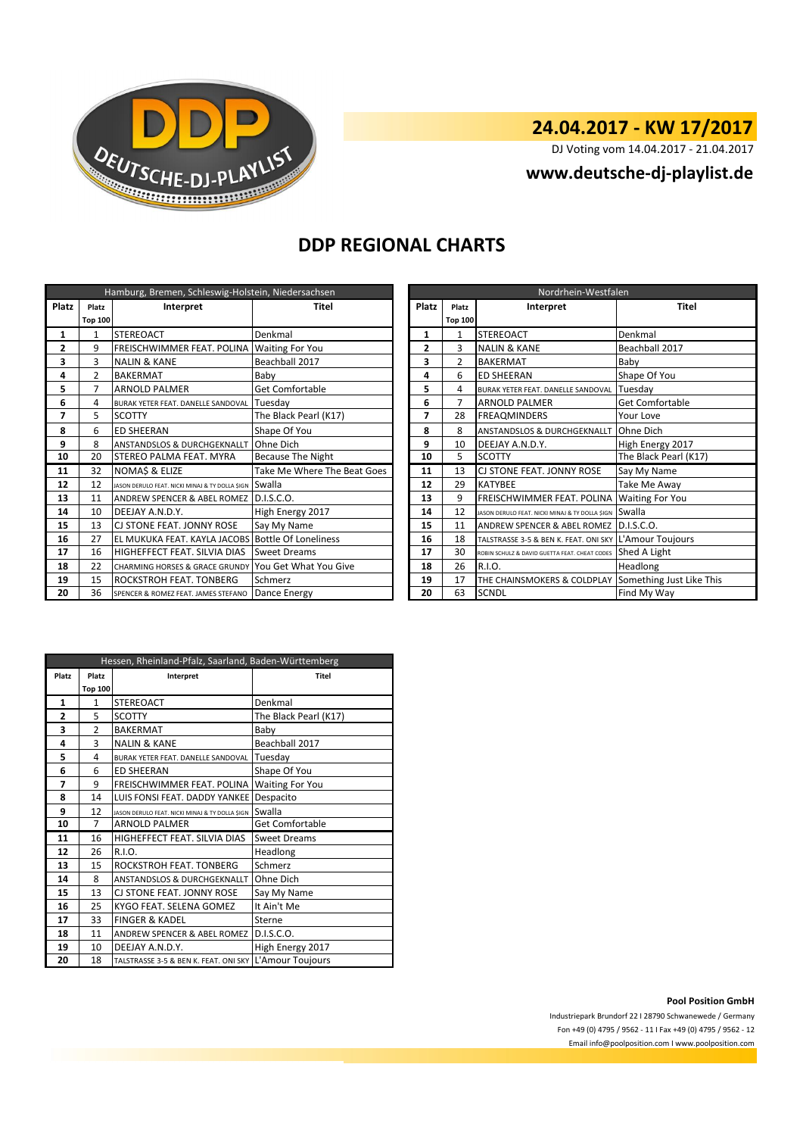

DJ Voting vom 14.04.2017 - 21.04.2017

**www.deutsche-dj-playlist.de**

### **DDP REGIONAL CHARTS**

| Hamburg, Bremen, Schleswig-Holstein, Niedersachsen |                |                                                       |                             |  | Nordrhein-Westfalen |                |                                                            |                          |  |  |
|----------------------------------------------------|----------------|-------------------------------------------------------|-----------------------------|--|---------------------|----------------|------------------------------------------------------------|--------------------------|--|--|
| Platz                                              | Platz          | Interpret                                             | Titel                       |  | Platz               | Platz          | Interpret                                                  | <b>Titel</b>             |  |  |
|                                                    | <b>Top 100</b> |                                                       |                             |  |                     | <b>Top 100</b> |                                                            |                          |  |  |
| 1                                                  | 1              | <b>STEREOACT</b>                                      | Denkmal                     |  | 1                   | 1              | <b>STEREOACT</b>                                           | Denkmal                  |  |  |
| $\overline{2}$                                     | 9              | FREISCHWIMMER FEAT. POLINA Waiting For You            |                             |  | $\overline{2}$      | 3              | <b>NALIN &amp; KANE</b>                                    | Beachball 2017           |  |  |
| 3                                                  | 3              | <b>NALIN &amp; KANE</b>                               | Beachball 2017              |  | 3                   | $\overline{2}$ | <b>BAKERMAT</b>                                            | Baby                     |  |  |
| 4                                                  | $\overline{2}$ | <b>BAKERMAT</b>                                       | Baby                        |  | 4                   | 6              | <b>ED SHEERAN</b>                                          | Shape Of You             |  |  |
| 5                                                  | $\overline{7}$ | <b>ARNOLD PALMER</b>                                  | <b>Get Comfortable</b>      |  | 5                   | 4              | BURAK YETER FEAT. DANELLE SANDOVAL                         | Tuesday                  |  |  |
| 6                                                  | 4              | BURAK YETER FEAT. DANELLE SANDOVAL                    | Tuesday                     |  | 6                   | 7              | <b>ARNOLD PALMER</b>                                       | <b>Get Comfortable</b>   |  |  |
| 7                                                  | 5              | <b>SCOTTY</b>                                         | The Black Pearl (K17)       |  | 7                   | 28             | <b>FREAQMINDERS</b>                                        | Your Love                |  |  |
| 8                                                  | 6              | <b>ED SHEERAN</b>                                     | Shape Of You                |  | 8                   | 8              | <b>ANSTANDSLOS &amp; DURCHGEKNALLT</b>                     | Ohne Dich                |  |  |
| 9                                                  | 8              | <b>ANSTANDSLOS &amp; DURCHGEKNALLT</b>                | Ohne Dich                   |  | 9                   | 10             | DEEJAY A.N.D.Y.                                            | High Energy 2017         |  |  |
| 10                                                 | 20             | <b>STEREO PALMA FEAT. MYRA</b>                        | <b>Because The Night</b>    |  | 10                  | 5.             | <b>SCOTTY</b>                                              | The Black Pearl (K17)    |  |  |
| 11                                                 | 32             | NOMA\$ & ELIZE                                        | Take Me Where The Beat Goes |  | 11                  | 13             | CJ STONE FEAT. JONNY ROSE                                  | Say My Name              |  |  |
| 12                                                 | 12             | JASON DERULO FEAT. NICKI MINAJ & TY DOLLA SIGN SWALLA |                             |  | 12                  | 29             | <b>KATYBEE</b>                                             | Take Me Away             |  |  |
| 13                                                 | 11             | ANDREW SPENCER & ABEL ROMEZ                           | D.I.S.C.O.                  |  | 13                  | 9              | FREISCHWIMMER FEAT. POLINA                                 | <b>Waiting For You</b>   |  |  |
| 14                                                 | 10             | DEEJAY A.N.D.Y.                                       | High Energy 2017            |  | 14                  | 12             | JASON DERULO FEAT. NICKI MINAJ & TY DOLLA SIGN SWAIIA      |                          |  |  |
| 15                                                 | 13             | CJ STONE FEAT. JONNY ROSE                             | Say My Name                 |  | 15                  | 11             | ANDREW SPENCER & ABEL ROMEZ D.I.S.C.O.                     |                          |  |  |
| 16                                                 | 27             | EL MUKUKA FEAT. KAYLA JACOBS                          | <b>Bottle Of Loneliness</b> |  | 16                  | 18             | TALSTRASSE 3-5 & BEN K. FEAT. ONI SKY L'Amour Toujours     |                          |  |  |
| 17                                                 | 16             | HIGHEFFECT FEAT. SILVIA DIAS                          | <b>Sweet Dreams</b>         |  | 17                  | 30             | ROBIN SCHULZ & DAVID GUETTA FEAT. CHEAT CODES Shed A Light |                          |  |  |
| 18                                                 | 22             | <b>CHARMING HORSES &amp; GRACE GRUNDY</b>             | You Get What You Give       |  | 18                  | 26             | R.I.O.                                                     | Headlong                 |  |  |
| 19                                                 | 15             | ROCKSTROH FEAT. TONBERG                               | Schmerz                     |  | 19                  | 17             | THE CHAINSMOKERS & COLDPLAY                                | Something Just Like This |  |  |
| 20                                                 | 36             | SPENCER & ROMEZ FEAT. JAMES STEFANO                   | Dance Energy                |  | 20                  | 63             | <b>SCNDL</b>                                               | Find My Way              |  |  |

|                | Nordrhein-Westfalen |                                                |                          |  |  |  |  |
|----------------|---------------------|------------------------------------------------|--------------------------|--|--|--|--|
| <b>Platz</b>   | Platz               | Interpret                                      | <b>Titel</b>             |  |  |  |  |
|                | <b>Top 100</b>      |                                                |                          |  |  |  |  |
| 1              | $\mathbf{1}$        | <b>STEREOACT</b>                               | Denkmal                  |  |  |  |  |
| $\overline{2}$ | 3                   | <b>NALIN &amp; KANE</b>                        | Beachball 2017           |  |  |  |  |
| 3              | $\overline{2}$      | <b>BAKERMAT</b>                                | Baby                     |  |  |  |  |
| 4              | 6                   | <b>ED SHEERAN</b>                              | Shape Of You             |  |  |  |  |
| 5              | 4                   | BURAK YETER FEAT. DANELLE SANDOVAL             | Tuesday                  |  |  |  |  |
| 6              | 7                   | <b>ARNOLD PALMER</b>                           | <b>Get Comfortable</b>   |  |  |  |  |
| 7              | 28                  | <b>FREAOMINDERS</b>                            | Your Love                |  |  |  |  |
| 8              | 8                   | ANSTANDSLOS & DURCHGEKNALLT                    | Ohne Dich                |  |  |  |  |
| 9              | 10                  | DEEJAY A.N.D.Y.                                | High Energy 2017         |  |  |  |  |
| 10             | 5                   | <b>SCOTTY</b>                                  | The Black Pearl (K17)    |  |  |  |  |
| 11             | 13                  | CJ STONE FEAT. JONNY ROSE                      | Say My Name              |  |  |  |  |
| 12             | 29                  | <b>KATYBEE</b>                                 | Take Me Away             |  |  |  |  |
| 13             | 9                   | FREISCHWIMMER FEAT. POLINA                     | <b>Waiting For You</b>   |  |  |  |  |
| 14             | 12                  | JASON DERULO FEAT. NICKI MINAJ & TY DOLLA SIGN | Swalla                   |  |  |  |  |
| 15             | 11                  | ANDREW SPENCER & ABEL ROMEZ                    | D.I.S.C.O.               |  |  |  |  |
| 16             | 18                  | TALSTRASSE 3-5 & BEN K. FEAT. ONI SKY          | L'Amour Toujours         |  |  |  |  |
| 17             | 30                  | ROBIN SCHULZ & DAVID GUETTA FEAT. CHEAT CODES  | Shed A Light             |  |  |  |  |
| 18             | 26                  | R.I.O.                                         | Headlong                 |  |  |  |  |
| 19             | 17                  | THE CHAINSMOKERS & COLDPLAY                    | Something Just Like This |  |  |  |  |
| 20             | 63                  | <b>SCNDL</b>                                   | Find My Way              |  |  |  |  |

|                | Hessen, Rheinland-Pfalz, Saarland, Baden-Württemberg |                                                        |                        |  |  |  |  |  |
|----------------|------------------------------------------------------|--------------------------------------------------------|------------------------|--|--|--|--|--|
| Platz          | Platz                                                | Interpret                                              | <b>Titel</b>           |  |  |  |  |  |
|                | <b>Top 100</b>                                       |                                                        |                        |  |  |  |  |  |
| 1              | $\mathbf{1}$                                         | <b>STEREOACT</b>                                       | Denkmal                |  |  |  |  |  |
| $\overline{2}$ | 5                                                    | <b>SCOTTY</b>                                          | The Black Pearl (K17)  |  |  |  |  |  |
| 3              | $\overline{2}$                                       | <b>BAKERMAT</b>                                        | Baby                   |  |  |  |  |  |
| 4              | 3                                                    | <b>NALIN &amp; KANE</b>                                | Beachball 2017         |  |  |  |  |  |
| 5              | 4                                                    | BURAK YETER FEAT. DANELLE SANDOVAL                     | Tuesday                |  |  |  |  |  |
| 6              | 6                                                    | <b>ED SHEERAN</b>                                      | Shape Of You           |  |  |  |  |  |
| 7              | 9                                                    | FREISCHWIMMER FEAT, POLINA                             | <b>Waiting For You</b> |  |  |  |  |  |
| 8              | 14                                                   | LUIS FONSI FEAT. DADDY YANKEE                          | Despacito              |  |  |  |  |  |
| 9              | 12                                                   | JASON DERULO FEAT. NICKI MINAJ & TY DOLLA \$IGN        | Swalla                 |  |  |  |  |  |
| 10             | 7                                                    | <b>ARNOLD PALMER</b>                                   | Get Comfortable        |  |  |  |  |  |
| 11             | 16                                                   | HIGHEFFECT FEAT. SILVIA DIAS                           | <b>Sweet Dreams</b>    |  |  |  |  |  |
| 12             | 26                                                   | R.I.O.                                                 | Headlong               |  |  |  |  |  |
| 13             | 15                                                   | ROCKSTROH FEAT. TONBERG                                | Schmerz                |  |  |  |  |  |
| 14             | 8                                                    | ANSTANDSLOS & DURCHGEKNALLT                            | Ohne Dich              |  |  |  |  |  |
| 15             | 13                                                   | CJ STONE FEAT. JONNY ROSE                              | Say My Name            |  |  |  |  |  |
| 16             | 25                                                   | KYGO FEAT. SELENA GOMEZ                                | It Ain't Me            |  |  |  |  |  |
| 17             | 33                                                   | <b>FINGER &amp; KADEL</b>                              | Sterne                 |  |  |  |  |  |
| 18             | 11                                                   | <b>ANDREW SPENCER &amp; ABEL ROMEZ</b>                 | D.I.S.C.O.             |  |  |  |  |  |
| 19             | 10                                                   | DEEJAY A.N.D.Y.                                        | High Energy 2017       |  |  |  |  |  |
| 20             | 18                                                   | TALSTRASSE 3-5 & BEN K. FEAT. ONI SKY L'Amour Toujours |                        |  |  |  |  |  |

**Pool Position GmbH**

Industriepark Brundorf 22 I 28790 Schwanewede / Germany Fon +49 (0) 4795 / 9562 - 11 I Fax +49 (0) 4795 / 9562 - 12 Email info@poolposition.com I www.poolposition.com